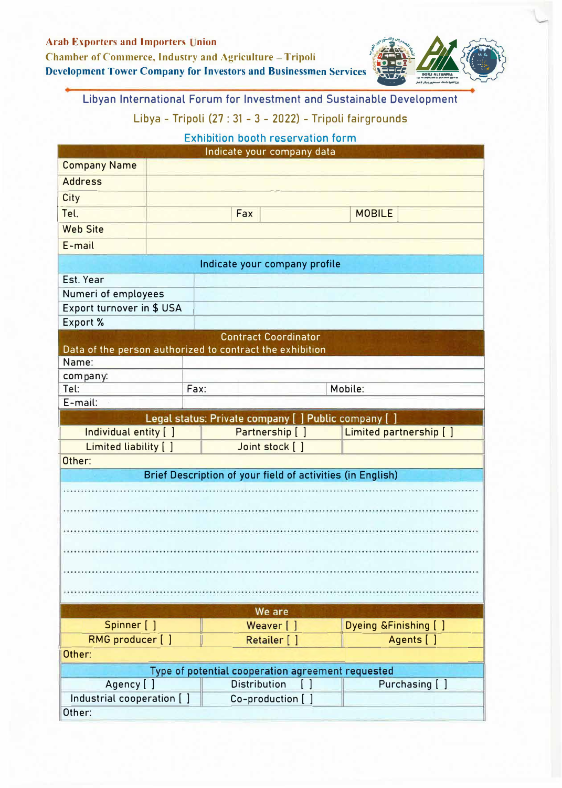

Libyan International Forum for Investment and Sustainable Development Libya - Tripoli (27 : 31 - 3 - 2022) - Tripoli fairgrounds

**Exhibition booth reservation form** 

| Indicate your company data                        |                      |                                                            |                         |  |  |  |  |
|---------------------------------------------------|----------------------|------------------------------------------------------------|-------------------------|--|--|--|--|
| <b>Company Name</b>                               |                      |                                                            |                         |  |  |  |  |
| <b>Address</b>                                    |                      |                                                            |                         |  |  |  |  |
| <b>City</b>                                       |                      |                                                            |                         |  |  |  |  |
| Tel.                                              | <b>MOBILE</b><br>Fax |                                                            |                         |  |  |  |  |
| <b>Web Site</b>                                   |                      |                                                            |                         |  |  |  |  |
| E-mail                                            |                      |                                                            |                         |  |  |  |  |
| Indicate your company profile                     |                      |                                                            |                         |  |  |  |  |
| Est. Year                                         |                      |                                                            |                         |  |  |  |  |
| Numeri of employees                               |                      |                                                            |                         |  |  |  |  |
| Export turnover in \$ USA                         |                      |                                                            |                         |  |  |  |  |
| Export %                                          |                      |                                                            |                         |  |  |  |  |
|                                                   |                      | <b>Contract Coordinator</b>                                |                         |  |  |  |  |
|                                                   |                      | Data of the person authorized to contract the exhibition   |                         |  |  |  |  |
| Name:                                             |                      |                                                            |                         |  |  |  |  |
| company:                                          |                      |                                                            |                         |  |  |  |  |
| Tel:                                              | Fax:                 |                                                            | Mobile:                 |  |  |  |  |
| E-mail:                                           |                      |                                                            |                         |  |  |  |  |
|                                                   |                      | Legal status: Private company [ ] Public company [ ]       |                         |  |  |  |  |
| Individual entity [ ]                             |                      | Partnership [ ]                                            | Limited partnership [ ] |  |  |  |  |
| Limited liability [ ]                             |                      | Joint stock [ ]                                            |                         |  |  |  |  |
| Other:                                            |                      |                                                            |                         |  |  |  |  |
|                                                   |                      | Brief Description of your field of activities (in English) |                         |  |  |  |  |
|                                                   |                      |                                                            |                         |  |  |  |  |
|                                                   |                      |                                                            |                         |  |  |  |  |
|                                                   |                      |                                                            |                         |  |  |  |  |
|                                                   |                      |                                                            |                         |  |  |  |  |
|                                                   |                      |                                                            |                         |  |  |  |  |
|                                                   |                      |                                                            |                         |  |  |  |  |
|                                                   |                      |                                                            |                         |  |  |  |  |
|                                                   |                      |                                                            |                         |  |  |  |  |
| We are                                            |                      |                                                            |                         |  |  |  |  |
| Spinner [ ]                                       |                      | Weaver [ ]                                                 | Dyeing & Finishing [ ]  |  |  |  |  |
| RMG producer [ ]                                  |                      | Retailer [ ]                                               | Agents [ ]              |  |  |  |  |
| Other:                                            |                      |                                                            |                         |  |  |  |  |
| Type of potential cooperation agreement requested |                      |                                                            |                         |  |  |  |  |
| Agency [ ]                                        |                      | <b>Distribution</b><br>[ ]                                 | Purchasing [ ]          |  |  |  |  |
| Industrial cooperation [ ]                        |                      | Co-production [ ]                                          |                         |  |  |  |  |
| Other:                                            |                      |                                                            |                         |  |  |  |  |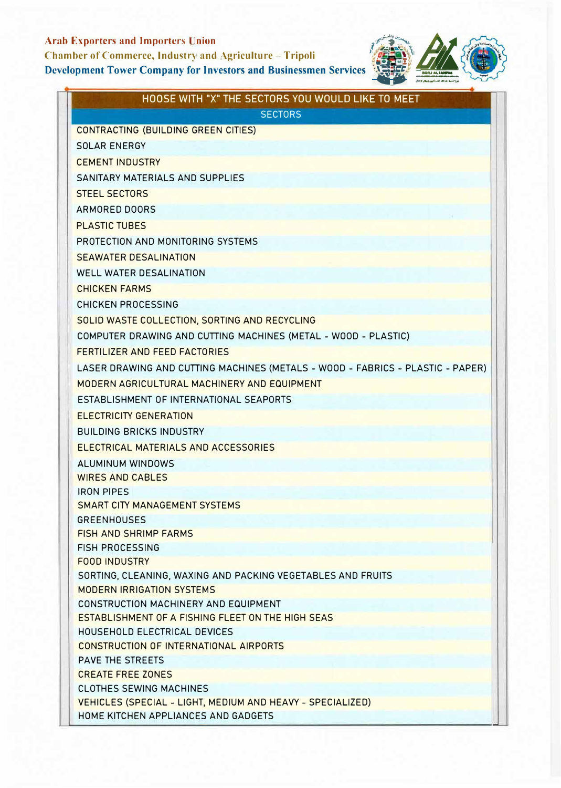### **Arab Exporters and Importers Union**

**Chamber of Commerce, Industry and Agriculture - Tripoli** 

#### **Development Tower Company for Investors and Businessmen Services**



| HOOSE WITH "X" THE SECTORS YOU WOULD LIKE TO MEET                              |  |  |  |  |
|--------------------------------------------------------------------------------|--|--|--|--|
| <b>SECTORS</b>                                                                 |  |  |  |  |
| <b>CONTRACTING (BUILDING GREEN CITIES)</b>                                     |  |  |  |  |
| <b>SOLAR ENERGY</b>                                                            |  |  |  |  |
| <b>CEMENT INDUSTRY</b>                                                         |  |  |  |  |
| SANITARY MATERIALS AND SUPPLIES                                                |  |  |  |  |
| <b>STEEL SECTORS</b>                                                           |  |  |  |  |
| ARMORED DOORS                                                                  |  |  |  |  |
| <b>PLASTIC TUBES</b>                                                           |  |  |  |  |
| PROTECTION AND MONITORING SYSTEMS                                              |  |  |  |  |
| <b>SEAWATER DESALINATION</b>                                                   |  |  |  |  |
| <b>WELL WATER DESALINATION</b>                                                 |  |  |  |  |
| <b>CHICKEN FARMS</b>                                                           |  |  |  |  |
| <b>CHICKEN PROCESSING</b>                                                      |  |  |  |  |
| SOLID WASTE COLLECTION, SORTING AND RECYCLING                                  |  |  |  |  |
| COMPUTER DRAWING AND CUTTING MACHINES (METAL - WOOD - PLASTIC)                 |  |  |  |  |
| <b>FERTILIZER AND FEED FACTORIES</b>                                           |  |  |  |  |
| LASER DRAWING AND CUTTING MACHINES (METALS - WOOD - FABRICS - PLASTIC - PAPER) |  |  |  |  |
| MODERN AGRICULTURAL MACHINERY AND EQUIPMENT                                    |  |  |  |  |
| ESTABLISHMENT OF INTERNATIONAL SEAPORTS                                        |  |  |  |  |
| <b>ELECTRICITY GENERATION</b>                                                  |  |  |  |  |
|                                                                                |  |  |  |  |
| <b>BUILDING BRICKS INDUSTRY</b>                                                |  |  |  |  |
| ELECTRICAL MATERIALS AND ACCESSORIES                                           |  |  |  |  |
| <b>ALUMINUM WINDOWS</b>                                                        |  |  |  |  |
| <b>WIRES AND CABLES</b><br><b>IRON PIPES</b>                                   |  |  |  |  |
| SMART CITY MANAGEMENT SYSTEMS                                                  |  |  |  |  |
| <b>GREENHOUSES</b>                                                             |  |  |  |  |
| <b>FISH AND SHRIMP FARMS</b>                                                   |  |  |  |  |
| <b>FISH PROCESSING</b>                                                         |  |  |  |  |
| <b>FOOD INDUSTRY</b>                                                           |  |  |  |  |
| SORTING, CLEANING, WAXING AND PACKING VEGETABLES AND FRUITS                    |  |  |  |  |
| <b>MODERN IRRIGATION SYSTEMS</b>                                               |  |  |  |  |
| CONSTRUCTION MACHINERY AND EQUIPMENT                                           |  |  |  |  |
| ESTABLISHMENT OF A FISHING FLEET ON THE HIGH SEAS                              |  |  |  |  |
| HOUSEHOLD ELECTRICAL DEVICES                                                   |  |  |  |  |
| <b>CONSTRUCTION OF INTERNATIONAL AIRPORTS</b>                                  |  |  |  |  |
| <b>PAVE THE STREETS</b><br><b>CREATE FREE ZONES</b>                            |  |  |  |  |
| <b>CLOTHES SEWING MACHINES</b>                                                 |  |  |  |  |
| VEHICLES (SPECIAL - LIGHT, MEDIUM AND HEAVY - SPECIALIZED)                     |  |  |  |  |
| HOME KITCHEN APPLIANCES AND GADGETS                                            |  |  |  |  |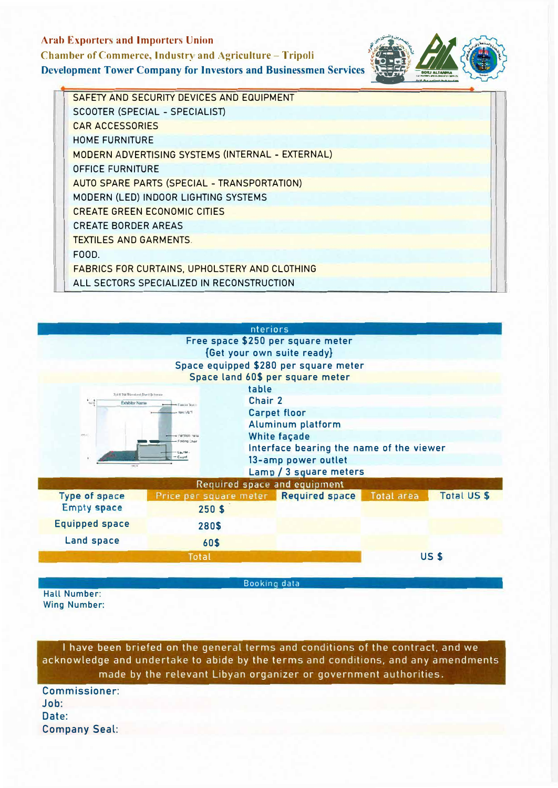## **Arab Exporters and Importers Union Chamber of Commerce, Industry and Agriculture - Tripoli Development Tower Company for Investors and Businessmen Services**



| SAFETY AND SECURITY DEVICES AND EQUIPMENT            |
|------------------------------------------------------|
| SCOOTER (SPECIAL - SPECIALIST)                       |
| <b>CAR ACCESSORIES</b>                               |
| <b>HOME FURNITURE</b>                                |
| MODERN ADVERTISING SYSTEMS (INTERNAL - EXTERNAL)     |
| <b>OFFICE FURNITURE</b>                              |
| AUTO SPARE PARTS (SPECIAL - TRANSPORTATION)          |
| MODERN (LED) INDOOR LIGHTING SYSTEMS                 |
| <b>CREATE GREEN ECONOMIC CITIES</b>                  |
| <b>CREATE BORDER AREAS</b>                           |
| <b>TEXTILES AND GARMENTS.</b>                        |
| FOOD.                                                |
| <b>FABRICS FOR CURTAINS, UPHOLSTERY AND CLOTHING</b> |
| ALL SECTORS SPECIALIZED IN RECONSTRUCTION            |



Booking data

Hall Number: **Wing Number:** 

I have been briefed on the general terms and conditions of the contract, and we acknowledge and undertake to abide by the terms and conditions, and any amendments made by the relevant Libyan organizer or government authorities.

**Commissioner:**  $Joh<sup>+</sup>$ Date: **Company Seal:**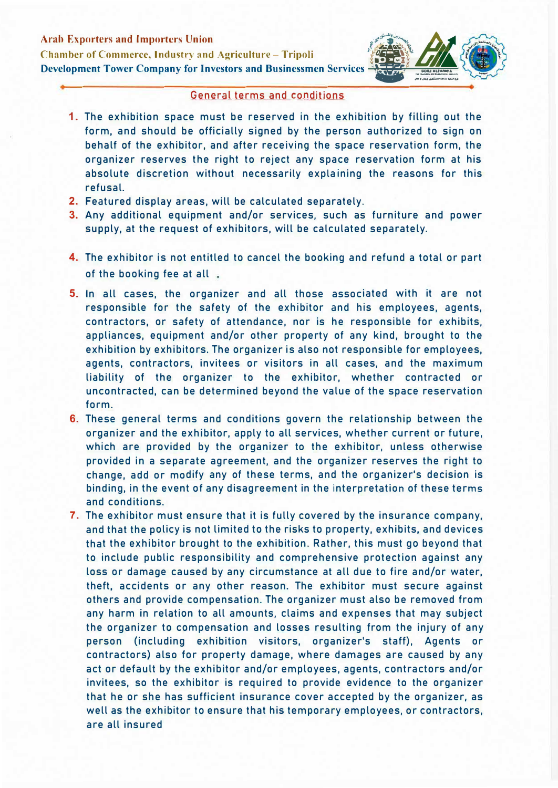

#### General terms and conditions

- 1. The exhibition space must be reserved in the exhibition by filling out the form, and should be officially signed by the person authorized to sign on behalf of the exhibitor, and after receiving the space reservation form, the organizer reserves the right to reject any space reservation form at his absolute discretion without necessarily explaining the reasons for this refusal.
- 2. Featured display areas, will be calculated separately.
- 3. Any additional equipment and/or services, such as furniture and power supply, at the request of exhibitors, will be calculated separately.
- 4. The exhibitor is not entitled to cancel the booking and refund a total or part of the booking fee at all.
- 5. In all cases, the organizer and all those associated with it are not responsible for the safety of the exhibitor and his employees, agents, contractors, or safety of attendance, nor is he responsible for exhibits, appliances, equipment and/or other property of any kind, brought to the exhibition by exhibitors. The organizer is also not responsible for employees, agents, contractors, invitees or visitors in all cases, and the maximum liability of the organizer to the exhibitor, whether contracted or uncontracted, can be determined beyond the value of the space reservation form.
- 6. These general terms and conditions govern the relationship between the organizer and the exhibitor, apply to all services, whether current or future, which are provided by the organizer to the exhibitor, unless otherwise provided in a separate agreement, and the organizer reserves the right to change, add or modify any of these terms, and the organizer's decision is binding, in the event of any disagreement in the interpretation of these terms and conditions.
- 7. The exhibitor must ensure that it is fully covered by the insurance company, and that the policy is not limited to the risks to property, exhibits, and devices that the exhibitor brought to the exhibition. Rather, this must go beyond that to include public responsibility and comprehensive protection against any loss or damage caused by any circumstance at all due to fire and/or water, theft, accidents or any other reason. The exhibitor must secure against others and provide compensation. The organizer must also be removed from any harm in relation to all amounts, claims and expenses that may subject the organizer to compensation and losses resulting from the injury of any person (including exhibition visitors, organizer's staff), Agents or contractors) also for property damage, where damages are caused by any act or default by the exhibitor and/or employees, agents, contractors and/or invitees, so the exhibitor is required to provide evidence to the organizer that he or she has sufficient insurance cover accepted by the organizer, as well as the exhibitor to ensure that his temporary employees, or contractors, are all insured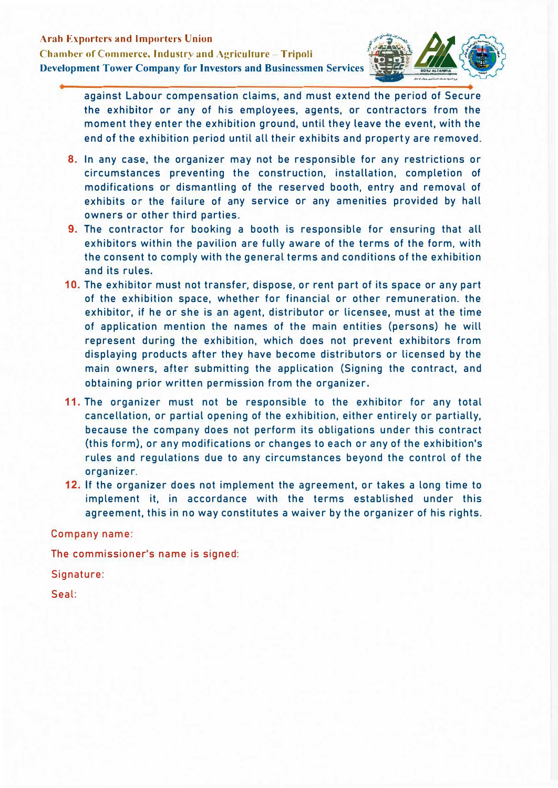

against Labour compensation claims, and must extend the period of Secure the exhibitor or any of his employees, agents, or contractors from the moment they enter the exhibition ground, until they leave the event, with the end of the exhibition period until all their exhibits and property are removed.

- 8. In any case, the organizer may not be responsible for any restrictions or circumstances preventing the construction, installation, completion of modifications or dismantling of the reserved booth, entry and removal of exhibits or the failure of any service or any amenities provided by hall owners or other third parties.
- 9. The contractor for booking a booth is responsible for ensuring that all exhibitors within the pavilion are fully aware of the terms of the form, with the consent to comply with the general terms and conditions of the exhibition and its rules.
- 10. The exhibitor must not transfer, dispose, or rent part of its space or any part of the exhibition space, whether for financial or other remuneration. the exhibitor, if he or she is an agent, distributor or licensee, must at the time of application mention the names of the main entities (persons) he will represent during the exhibition, which does not prevent exhibitors from displaying products after they have become distributors or licensed by the main owners, after submitting the application (Signing the contract, and obtaining prior written permission from the organizer.
- **11.** The organizer must not be responsible to the exhibitor for any total cancellation, or partial opening of the exhibition, either entirely or partially, because the company does not perform its obligations under this contract (this form), or any modifications or changes to each or any of the exhibition's rules and regulations due to any circumstances beyond the control of the organizer.
- **12.** If the organizer does not implement the agreement, or takes a long time to implement it, in accordance with the terms established under this agreement, this in no way constitutes a waiver by the organizer of his rights.

Company name:

The commissioner's name is signed:

Signature:

Seal: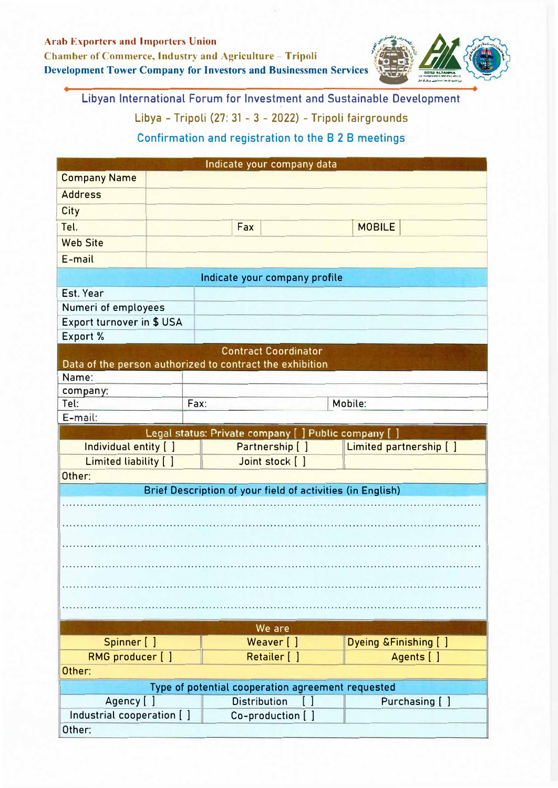

Libyan International Forum for Investment and Sustainable Development Libya - Tripoli (27: 31 - 3 - 2022) - Tripoli fairgrounds

Confirmation and registration to the 8 2 8 meetings

|                                                            |                      |                                                      |  | Indicate your company data |  |  |  |  |  |
|------------------------------------------------------------|----------------------|------------------------------------------------------|--|----------------------------|--|--|--|--|--|
| <b>Company Name</b>                                        |                      |                                                      |  |                            |  |  |  |  |  |
| <b>Address</b>                                             |                      |                                                      |  |                            |  |  |  |  |  |
| <b>City</b>                                                |                      |                                                      |  |                            |  |  |  |  |  |
| Tel.                                                       | <b>MOBILE</b><br>Fax |                                                      |  |                            |  |  |  |  |  |
| <b>Web Site</b>                                            |                      |                                                      |  |                            |  |  |  |  |  |
| E-mail                                                     |                      |                                                      |  |                            |  |  |  |  |  |
|                                                            |                      | Indicate your company profile                        |  |                            |  |  |  |  |  |
| Est. Year                                                  |                      |                                                      |  |                            |  |  |  |  |  |
| Numeri of employees                                        |                      |                                                      |  |                            |  |  |  |  |  |
| Export turnover in \$ USA                                  |                      |                                                      |  |                            |  |  |  |  |  |
| Export %                                                   |                      |                                                      |  |                            |  |  |  |  |  |
|                                                            |                      | <b>Contract Coordinator</b>                          |  |                            |  |  |  |  |  |
| Data of the person authorized to contract the exhibition   |                      |                                                      |  |                            |  |  |  |  |  |
| Name:                                                      |                      |                                                      |  |                            |  |  |  |  |  |
| company:                                                   |                      |                                                      |  |                            |  |  |  |  |  |
| Tel:                                                       | Fax:                 |                                                      |  | Mobile:                    |  |  |  |  |  |
| E-mail:                                                    |                      |                                                      |  |                            |  |  |  |  |  |
|                                                            |                      | Legal status: Private company [ ] Public company [ ] |  |                            |  |  |  |  |  |
| Individual entity [ ]                                      |                      | Partnership [ ]                                      |  | Limited partnership [ ]    |  |  |  |  |  |
| Limited liability [ ]                                      |                      | Joint stock [ ]                                      |  |                            |  |  |  |  |  |
| Other:                                                     |                      |                                                      |  |                            |  |  |  |  |  |
| Brief Description of your field of activities (in English) |                      |                                                      |  |                            |  |  |  |  |  |
|                                                            |                      |                                                      |  |                            |  |  |  |  |  |
|                                                            |                      |                                                      |  |                            |  |  |  |  |  |
|                                                            |                      |                                                      |  |                            |  |  |  |  |  |
|                                                            |                      |                                                      |  |                            |  |  |  |  |  |
|                                                            |                      |                                                      |  |                            |  |  |  |  |  |
|                                                            |                      |                                                      |  |                            |  |  |  |  |  |
|                                                            |                      |                                                      |  |                            |  |  |  |  |  |
|                                                            |                      |                                                      |  |                            |  |  |  |  |  |
|                                                            |                      |                                                      |  |                            |  |  |  |  |  |
|                                                            |                      |                                                      |  |                            |  |  |  |  |  |
|                                                            |                      | We are                                               |  |                            |  |  |  |  |  |
| Spinner [ ]                                                |                      | Weaver [ ]                                           |  | Dyeing & Finishing [ ]     |  |  |  |  |  |
| RMG producer [ ]                                           |                      | Retailer [ ]                                         |  | Agents [ ]                 |  |  |  |  |  |
| Other:                                                     |                      |                                                      |  |                            |  |  |  |  |  |
|                                                            |                      | Type of potential cooperation agreement requested    |  |                            |  |  |  |  |  |
| Agency [ ]                                                 |                      | <b>Distribution</b>                                  |  | Purchasing [ ]             |  |  |  |  |  |
| Industrial cooperation [ ]                                 |                      | Co-production []                                     |  |                            |  |  |  |  |  |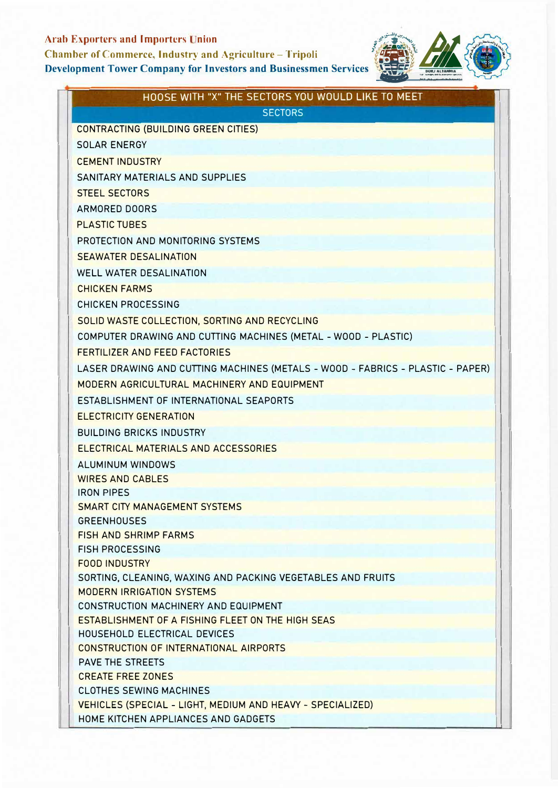# **Arab Exporters and Importers Union**

**Chamber of Commerce, Industry and Agriculture - Tripoli** 

# **Development Tower Company for Investors and Businessmen Services**



| HOOSE WITH "X" THE SECTORS YOU WOULD LIKE TO MEET                              |  |  |  |  |
|--------------------------------------------------------------------------------|--|--|--|--|
| <b>SECTORS</b>                                                                 |  |  |  |  |
| <b>CONTRACTING (BUILDING GREEN CITIES)</b>                                     |  |  |  |  |
| <b>SOLAR ENERGY</b>                                                            |  |  |  |  |
| <b>CEMENT INDUSTRY</b>                                                         |  |  |  |  |
| SANITARY MATERIALS AND SUPPLIES                                                |  |  |  |  |
| <b>STEEL SECTORS</b>                                                           |  |  |  |  |
| <b>ARMORED DOORS</b>                                                           |  |  |  |  |
| <b>PLASTIC TUBES</b>                                                           |  |  |  |  |
| PROTECTION AND MONITORING SYSTEMS                                              |  |  |  |  |
| <b>SEAWATER DESALINATION</b>                                                   |  |  |  |  |
| <b>WELL WATER DESALINATION</b>                                                 |  |  |  |  |
| <b>CHICKEN FARMS</b>                                                           |  |  |  |  |
| <b>CHICKEN PROCESSING</b>                                                      |  |  |  |  |
| SOLID WASTE COLLECTION, SORTING AND RECYCLING                                  |  |  |  |  |
| COMPUTER DRAWING AND CUTTING MACHINES (METAL - WOOD - PLASTIC)                 |  |  |  |  |
| <b>FERTILIZER AND FEED FACTORIES</b>                                           |  |  |  |  |
| LASER DRAWING AND CUTTING MACHINES (METALS - WOOD - FABRICS - PLASTIC - PAPER) |  |  |  |  |
| MODERN AGRICULTURAL MACHINERY AND EQUIPMENT                                    |  |  |  |  |
| ESTABLISHMENT OF INTERNATIONAL SEAPORTS                                        |  |  |  |  |
| <b>ELECTRICITY GENERATION</b>                                                  |  |  |  |  |
|                                                                                |  |  |  |  |
| <b>BUILDING BRICKS INDUSTRY</b>                                                |  |  |  |  |
| ELECTRICAL MATERIALS AND ACCESSORIES                                           |  |  |  |  |
| ALUMINUM WINDOWS                                                               |  |  |  |  |
| <b>WIRES AND CABLES</b><br><b>IRON PIPES</b>                                   |  |  |  |  |
| <b>SMART CITY MANAGEMENT SYSTEMS</b>                                           |  |  |  |  |
| <b>GREENHOUSES</b>                                                             |  |  |  |  |
| <b>FISH AND SHRIMP FARMS</b>                                                   |  |  |  |  |
| <b>FISH PROCESSING</b>                                                         |  |  |  |  |
| <b>FOOD INDUSTRY</b>                                                           |  |  |  |  |
| SORTING, CLEANING, WAXING AND PACKING VEGETABLES AND FRUITS                    |  |  |  |  |
| <b>MODERN IRRIGATION SYSTEMS</b>                                               |  |  |  |  |
| CONSTRUCTION MACHINERY AND EQUIPMENT                                           |  |  |  |  |
| ESTABLISHMENT OF A FISHING FLEET ON THE HIGH SEAS                              |  |  |  |  |
| HOUSEHOLD ELECTRICAL DEVICES                                                   |  |  |  |  |
| CONSTRUCTION OF INTERNATIONAL AIRPORTS<br><b>PAVE THE STREETS</b>              |  |  |  |  |
| <b>CREATE FREE ZONES</b>                                                       |  |  |  |  |
| <b>CLOTHES SEWING MACHINES</b>                                                 |  |  |  |  |
| VEHICLES (SPECIAL - LIGHT, MEDIUM AND HEAVY - SPECIALIZED)                     |  |  |  |  |
| HOME KITCHEN APPLIANCES AND GADGETS                                            |  |  |  |  |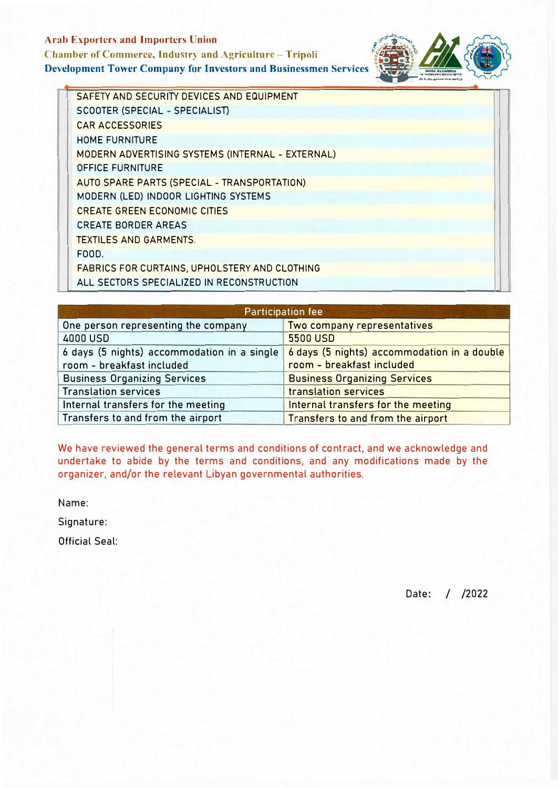# Arab Exporters and Importers Union<br>Chamber of Commerce, Industry and Agriculture – Tripoli Chamber of Commerce, Industry and Agriculture - Tripoli (*b...)*<br>Development Tower Company for Investors and Businessmen Services (*Reference*) **Development Tower Company for Investors and Businessmen Services**



SAFETY AND SECURITY DEVICES AND EQUIPMENT SCOOTER (SPECIAL - SPECIALIST) CAR ACCESSORIES HOME FURNITURE MODERN ADVERTISING SYSTEMS (INTERNAL - EXTERNAL) OFFICE FURNITURE AUTO SPARE PARTS (SPECIAL - TRANSPORTATION) MODERN (LED) INDOOR LIGHTING SYSTEMS CREATE GREEN ECONOMIC CITIES CREATE BORDER AREAS TEXTILES AND GARMENTS. FOOD. FABRICS FOR CURTAINS, UPHOLSTERY AND CLOTHING ALL SECTORS SPECIALIZED IN RECONSTRUCTION

| <b>Participation fee</b>                    |                                             |  |  |
|---------------------------------------------|---------------------------------------------|--|--|
| One person representing the company         | Two company representatives                 |  |  |
| 4000 USD                                    | <b>5500 USD</b>                             |  |  |
| 6 days (5 nights) accommodation in a single | 6 days (5 nights) accommodation in a double |  |  |
| room - breakfast included                   | room - breakfast included                   |  |  |
| <b>Business Organizing Services</b>         | <b>Business Organizing Services</b>         |  |  |
| <b>Translation services</b>                 | translation services                        |  |  |
| Internal transfers for the meeting          | Internal transfers for the meeting          |  |  |
| Transfers to and from the airport           | Transfers to and from the airport           |  |  |

We have reviewed the general terms and conditions of contract, and we acknowledge and undertake to abide by the terms and conditions, and any modifications made by the organizer, and/or the relevant Libyan governmental authorities.

Name:

Signature:

Official Seal:

Date: / /2022